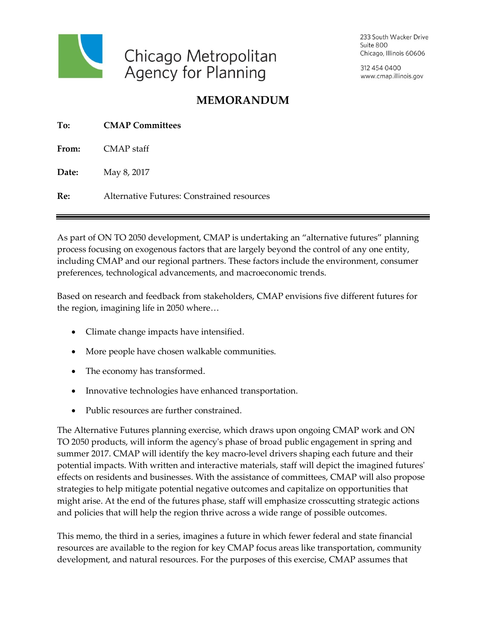

233 South Wacker Drive Suite 800 Chicago, Illinois 60606

312 454 0400 www.cmap.illinois.gov

## **MEMORANDUM**

| To:   | <b>CMAP Committees</b>                     |  |
|-------|--------------------------------------------|--|
|       | From: CMAP staff                           |  |
| Date: | May 8, 2017                                |  |
| Re:   | Alternative Futures: Constrained resources |  |
|       |                                            |  |

As part of ON TO 2050 development, CMAP is undertaking an "alternative futures" planning process focusing on exogenous factors that are largely beyond the control of any one entity, including CMAP and our regional partners. These factors include the environment, consumer preferences, technological advancements, and macroeconomic trends.

Based on research and feedback from stakeholders, CMAP envisions five different futures for the region, imagining life in 2050 where…

- Climate change impacts have intensified.
- More people have chosen walkable communities.
- The economy has transformed.
- Innovative technologies have enhanced transportation.
- Public resources are further constrained.

The Alternative Futures planning exercise, which draws upon ongoing CMAP work and ON TO 2050 products, will inform the agency's phase of broad public engagement in spring and summer 2017. CMAP will identify the key macro-level drivers shaping each future and their potential impacts. With written and interactive materials, staff will depict the imagined futures' effects on residents and businesses. With the assistance of committees, CMAP will also propose strategies to help mitigate potential negative outcomes and capitalize on opportunities that might arise. At the end of the futures phase, staff will emphasize crosscutting strategic actions and policies that will help the region thrive across a wide range of possible outcomes.

This memo, the third in a series, imagines a future in which fewer federal and state financial resources are available to the region for key CMAP focus areas like transportation, community development, and natural resources. For the purposes of this exercise, CMAP assumes that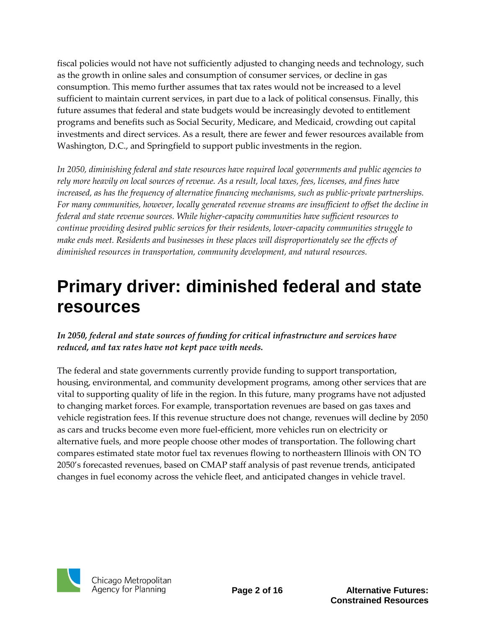fiscal policies would not have not sufficiently adjusted to changing needs and technology, such as the growth in online sales and consumption of consumer services, or decline in gas consumption. This memo further assumes that tax rates would not be increased to a level sufficient to maintain current services, in part due to a lack of political consensus. Finally, this future assumes that federal and state budgets would be increasingly devoted to entitlement programs and benefits such as Social Security, Medicare, and Medicaid, crowding out capital investments and direct services. As a result, there are fewer and fewer resources available from Washington, D.C., and Springfield to support public investments in the region.

*In 2050, diminishing federal and state resources have required local governments and public agencies to rely more heavily on local sources of revenue. As a result, local taxes, fees, licenses, and fines have increased, as has the frequency of alternative financing mechanisms, such as public-private partnerships. For many communities, however, locally generated revenue streams are insufficient to offset the decline in federal and state revenue sources. While higher-capacity communities have sufficient resources to continue providing desired public services for their residents, lower-capacity communities struggle to make ends meet. Residents and businesses in these places will disproportionately see the effects of diminished resources in transportation, community development, and natural resources.* 

## **Primary driver: diminished federal and state resources**

### *In 2050, federal and state sources of funding for critical infrastructure and services have reduced, and tax rates have not kept pace with needs.*

The federal and state governments currently provide funding to support transportation, housing, environmental, and community development programs, among other services that are vital to supporting quality of life in the region. In this future, many programs have not adjusted to changing market forces. For example, transportation revenues are based on gas taxes and vehicle registration fees. If this revenue structure does not change, revenues will decline by 2050 as cars and trucks become even more fuel-efficient, more vehicles run on electricity or alternative fuels, and more people choose other modes of transportation. The following chart compares estimated state motor fuel tax revenues flowing to northeastern Illinois with ON TO 2050's forecasted revenues, based on CMAP staff analysis of past revenue trends, anticipated changes in fuel economy across the vehicle fleet, and anticipated changes in vehicle travel.



**Page 2 of 16 Alternative Futures: Constrained Resources**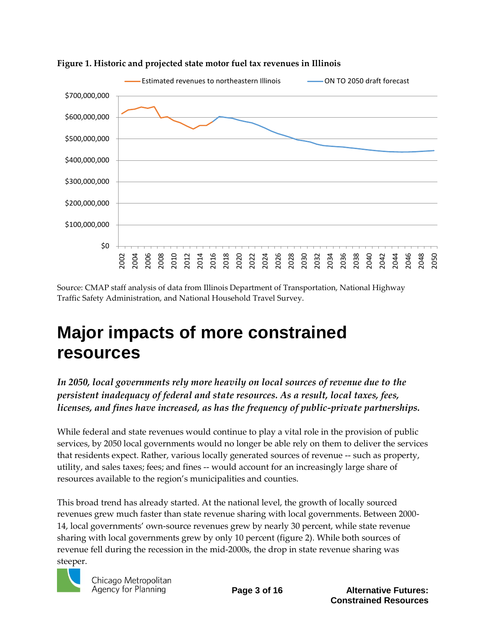



Source: CMAP staff analysis of data from Illinois Department of Transportation, National Highway Traffic Safety Administration, and National Household Travel Survey.

## **Major impacts of more constrained resources**

*In 2050, local governments rely more heavily on local sources of revenue due to the persistent inadequacy of federal and state resources. As a result, local taxes, fees, licenses, and fines have increased, as has the frequency of public-private partnerships.*

While federal and state revenues would continue to play a vital role in the provision of public services, by 2050 local governments would no longer be able rely on them to deliver the services that residents expect. Rather, various locally generated sources of revenue -- such as property, utility, and sales taxes; fees; and fines -- would account for an increasingly large share of resources available to the region's municipalities and counties.

This broad trend has already started. At the national level, the growth of locally sourced revenues grew much faster than state revenue sharing with local governments. Between 2000- 14, local governments' own-source revenues grew by nearly 30 percent, while state revenue sharing with local governments grew by only 10 percent (figure 2). While both sources of revenue fell during the recession in the mid-2000s, the drop in state revenue sharing was steeper.



**Page 3 of 16 Alternative Futures: Constrained Resources**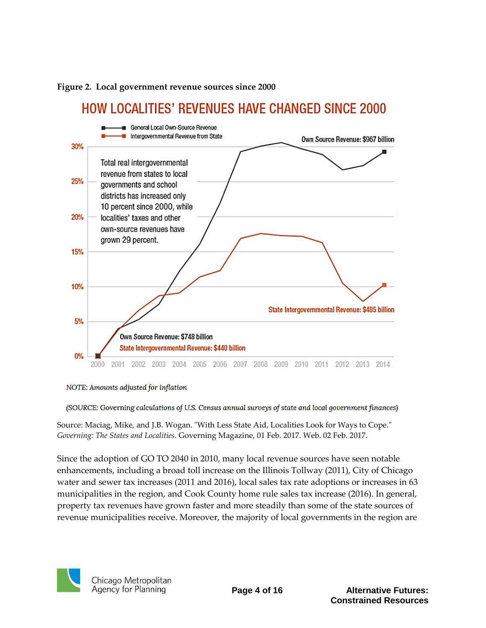



NOTE: Amounts adjusted for inflation

(SOURCE: Governing calculations of U.S. Census annual surveys of state and local government finances)

Source: Maciag, Mike, and J.B. Wogan. "With Less State Aid, Localities Look for Ways to Cope." *Governing: The States and Localities*. Governing Magazine, 01 Feb. 2017. Web. 02 Feb. 2017.

Since the adoption of GO TO 2040 in 2010, many local revenue sources have seen notable enhancements, including a broad toll increase on the Illinois Tollway (2011), City of Chicago water and sewer tax increases (2011 and 2016), local sales tax rate adoptions or increases in 63 municipalities in the region, and Cook County home rule sales tax increase (2016). In general, property tax revenues have grown faster and more steadily than some of the state sources of revenue municipalities receive. Moreover, the majority of local governments in the region are

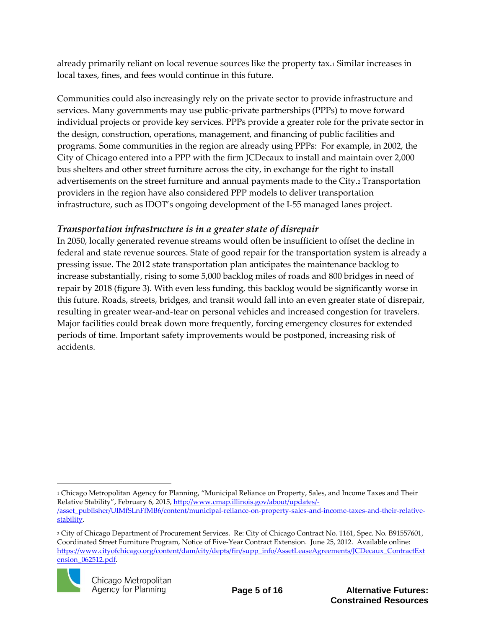already primarily reliant on local revenue sources like the property tax.<sup>1</sup> Similar increases in local taxes, fines, and fees would continue in this future.

Communities could also increasingly rely on the private sector to provide infrastructure and services. Many governments may use public-private partnerships (PPPs) to move forward individual projects or provide key services. PPPs provide a greater role for the private sector in the design, construction, operations, management, and financing of public facilities and programs. Some communities in the region are already using PPPs: For example, in 2002, the City of Chicago entered into a PPP with the firm JCDecaux to install and maintain over 2,000 bus shelters and other street furniture across the city, in exchange for the right to install advertisements on the street furniture and annual payments made to the City.<sup>2</sup> Transportation providers in the region have also considered PPP models to deliver transportation infrastructure, such as IDOT's ongoing development of the I-55 managed lanes project.

## *Transportation infrastructure is in a greater state of disrepair*

In 2050, locally generated revenue streams would often be insufficient to offset the decline in federal and state revenue sources. State of good repair for the transportation system is already a pressing issue. The 2012 state transportation plan anticipates the maintenance backlog to increase substantially, rising to some 5,000 backlog miles of roads and 800 bridges in need of repair by 2018 (figure 3). With even less funding, this backlog would be significantly worse in this future. Roads, streets, bridges, and transit would fall into an even greater state of disrepair, resulting in greater wear-and-tear on personal vehicles and increased congestion for travelers. Major facilities could break down more frequently, forcing emergency closures for extended periods of time. Important safety improvements would be postponed, increasing risk of accidents.

<sup>2</sup> City of Chicago Department of Procurement Services. Re: City of Chicago Contract No. 1161, Spec. No. B91557601, Coordinated Street Furniture Program, Notice of Five-Year Contract Extension. June 25, 2012. Available online: [https://www.cityofchicago.org/content/dam/city/depts/fin/supp\\_info/AssetLeaseAgreements/JCDecaux\\_ContractExt](https://www.cityofchicago.org/content/dam/city/depts/fin/supp_info/AssetLeaseAgreements/JCDecaux_ContractExtension_062512.pdf) [ension\\_062512.pdf.](https://www.cityofchicago.org/content/dam/city/depts/fin/supp_info/AssetLeaseAgreements/JCDecaux_ContractExtension_062512.pdf)



 $\overline{a}$ <sup>1</sup> Chicago Metropolitan Agency for Planning, "Municipal Reliance on Property, Sales, and Income Taxes and Their Relative Stability", February 6, 2015, [http://www.cmap.illinois.gov/about/updates/-](http://www.cmap.illinois.gov/about/updates/-/asset_publisher/UIMfSLnFfMB6/content/municipal-reliance-on-property-sales-and-income-taxes-and-their-relative-stability) [/asset\\_publisher/UIMfSLnFfMB6/content/municipal-reliance-on-property-sales-and-income-taxes-and-their-relative](http://www.cmap.illinois.gov/about/updates/-/asset_publisher/UIMfSLnFfMB6/content/municipal-reliance-on-property-sales-and-income-taxes-and-their-relative-stability)[stability.](http://www.cmap.illinois.gov/about/updates/-/asset_publisher/UIMfSLnFfMB6/content/municipal-reliance-on-property-sales-and-income-taxes-and-their-relative-stability)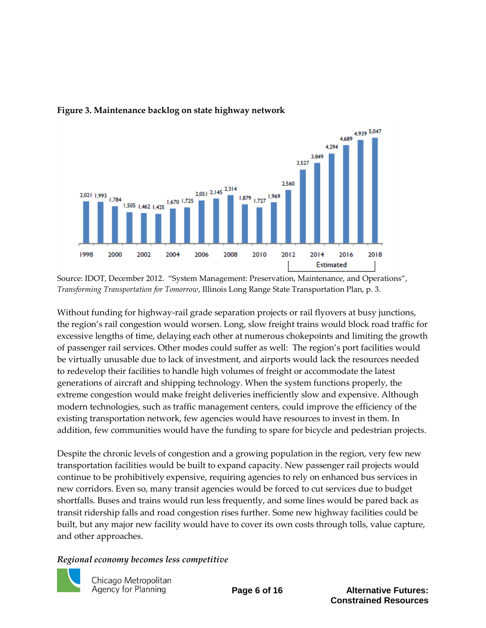

#### **Figure 3. Maintenance backlog on state highway network**

Source: IDOT, December 2012. "System Management: Preservation, Maintenance, and Operations", *Transforming Transportation for Tomorrow*, Illinois Long Range State Transportation Plan, p. 3.

Without funding for highway-rail grade separation projects or rail flyovers at busy junctions, the region's rail congestion would worsen. Long, slow freight trains would block road traffic for excessive lengths of time, delaying each other at numerous chokepoints and limiting the growth of passenger rail services. Other modes could suffer as well: The region's port facilities would be virtually unusable due to lack of investment, and airports would lack the resources needed to redevelop their facilities to handle high volumes of freight or accommodate the latest generations of aircraft and shipping technology. When the system functions properly, the extreme congestion would make freight deliveries inefficiently slow and expensive. Although modern technologies, such as traffic management centers, could improve the efficiency of the existing transportation network, few agencies would have resources to invest in them. In addition, few communities would have the funding to spare for bicycle and pedestrian projects.

Despite the chronic levels of congestion and a growing population in the region, very few new transportation facilities would be built to expand capacity. New passenger rail projects would continue to be prohibitively expensive, requiring agencies to rely on enhanced bus services in new corridors. Even so, many transit agencies would be forced to cut services due to budget shortfalls. Buses and trains would run less frequently, and some lines would be pared back as transit ridership falls and road congestion rises further. Some new highway facilities could be built, but any major new facility would have to cover its own costs through tolls, value capture, and other approaches.

#### *Regional economy becomes less competitive*



Chicago Metropolitan Agency for Planning

**Page 6 of 16 Alternative Futures: Constrained Resources**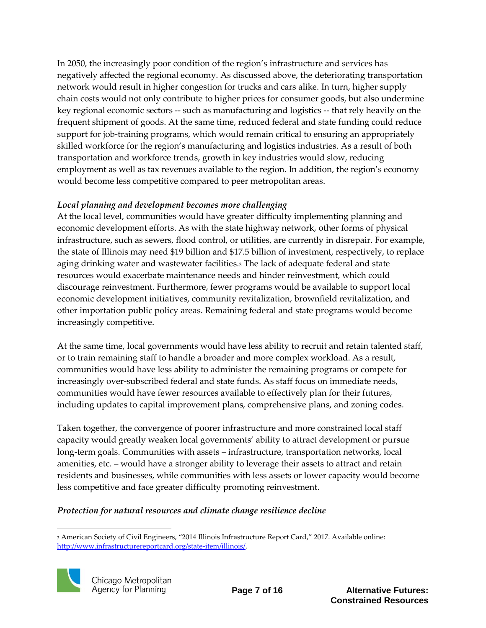In 2050, the increasingly poor condition of the region's infrastructure and services has negatively affected the regional economy. As discussed above, the deteriorating transportation network would result in higher congestion for trucks and cars alike. In turn, higher supply chain costs would not only contribute to higher prices for consumer goods, but also undermine key regional economic sectors -- such as manufacturing and logistics -- that rely heavily on the frequent shipment of goods. At the same time, reduced federal and state funding could reduce support for job-training programs, which would remain critical to ensuring an appropriately skilled workforce for the region's manufacturing and logistics industries. As a result of both transportation and workforce trends, growth in key industries would slow, reducing employment as well as tax revenues available to the region. In addition, the region's economy would become less competitive compared to peer metropolitan areas.

### *Local planning and development becomes more challenging*

At the local level, communities would have greater difficulty implementing planning and economic development efforts. As with the state highway network, other forms of physical infrastructure, such as sewers, flood control, or utilities, are currently in disrepair. For example, the state of Illinois may need \$19 billion and \$17.5 billion of investment, respectively, to replace aging drinking water and wastewater facilities.<sup>3</sup> The lack of adequate federal and state resources would exacerbate maintenance needs and hinder reinvestment, which could discourage reinvestment. Furthermore, fewer programs would be available to support local economic development initiatives, community revitalization, brownfield revitalization, and other importation public policy areas. Remaining federal and state programs would become increasingly competitive.

At the same time, local governments would have less ability to recruit and retain talented staff, or to train remaining staff to handle a broader and more complex workload. As a result, communities would have less ability to administer the remaining programs or compete for increasingly over-subscribed federal and state funds. As staff focus on immediate needs, communities would have fewer resources available to effectively plan for their futures, including updates to capital improvement plans, comprehensive plans, and zoning codes.

Taken together, the convergence of poorer infrastructure and more constrained local staff capacity would greatly weaken local governments' ability to attract development or pursue long-term goals. Communities with assets – infrastructure, transportation networks, local amenities, etc. – would have a stronger ability to leverage their assets to attract and retain residents and businesses, while communities with less assets or lower capacity would become less competitive and face greater difficulty promoting reinvestment.

#### *Protection for natural resources and climate change resilience decline*

<sup>1</sup> <sup>3</sup> American Society of Civil Engineers, "2014 Illinois Infrastructure Report Card," 2017. Available online: [http://www.infrastructurereportcard.org/state-item/illinois/.](http://www.infrastructurereportcard.org/state-item/illinois/)

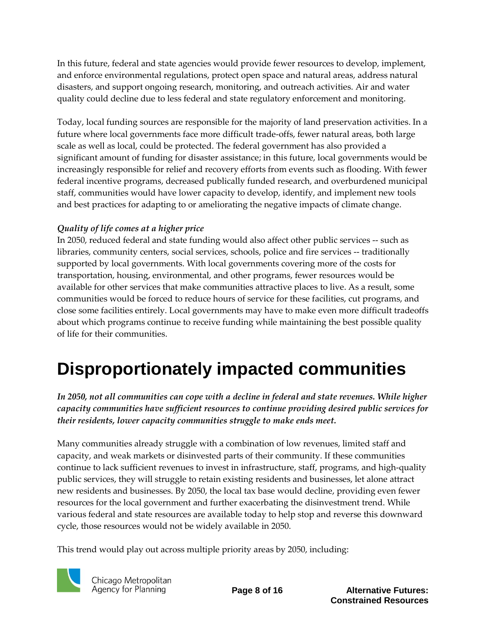In this future, federal and state agencies would provide fewer resources to develop, implement, and enforce environmental regulations, protect open space and natural areas, address natural disasters, and support ongoing research, monitoring, and outreach activities. Air and water quality could decline due to less federal and state regulatory enforcement and monitoring.

Today, local funding sources are responsible for the majority of land preservation activities. In a future where local governments face more difficult trade-offs, fewer natural areas, both large scale as well as local, could be protected. The federal government has also provided a significant amount of funding for disaster assistance; in this future, local governments would be increasingly responsible for relief and recovery efforts from events such as flooding. With fewer federal incentive programs, decreased publically funded research, and overburdened municipal staff, communities would have lower capacity to develop, identify, and implement new tools and best practices for adapting to or ameliorating the negative impacts of climate change.

### *Quality of life comes at a higher price*

In 2050, reduced federal and state funding would also affect other public services -- such as libraries, community centers, social services, schools, police and fire services -- traditionally supported by local governments. With local governments covering more of the costs for transportation, housing, environmental, and other programs, fewer resources would be available for other services that make communities attractive places to live. As a result, some communities would be forced to reduce hours of service for these facilities, cut programs, and close some facilities entirely. Local governments may have to make even more difficult tradeoffs about which programs continue to receive funding while maintaining the best possible quality of life for their communities.

# **Disproportionately impacted communities**

*In 2050, not all communities can cope with a decline in federal and state revenues. While higher capacity communities have sufficient resources to continue providing desired public services for their residents, lower capacity communities struggle to make ends meet.* 

Many communities already struggle with a combination of low revenues, limited staff and capacity, and weak markets or disinvested parts of their community. If these communities continue to lack sufficient revenues to invest in infrastructure, staff, programs, and high-quality public services, they will struggle to retain existing residents and businesses, let alone attract new residents and businesses. By 2050, the local tax base would decline, providing even fewer resources for the local government and further exacerbating the disinvestment trend. While various federal and state resources are available today to help stop and reverse this downward cycle, those resources would not be widely available in 2050.

This trend would play out across multiple priority areas by 2050, including:



Chicago Metropolitan Agency for Planning

**Page 8 of 16 Alternative Futures: Constrained Resources**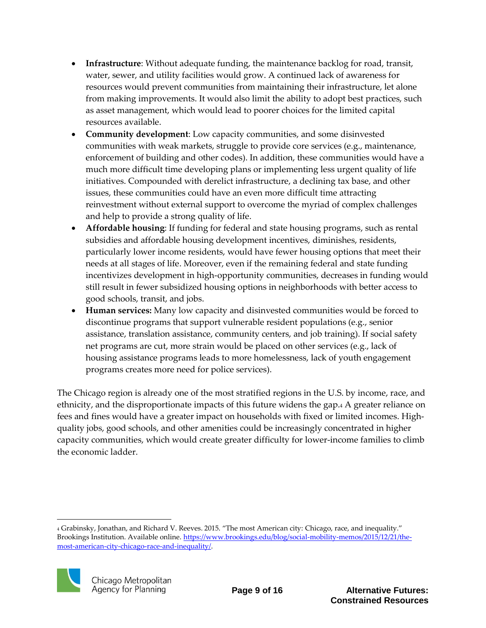- **Infrastructure**: Without adequate funding, the maintenance backlog for road, transit, water, sewer, and utility facilities would grow. A continued lack of awareness for resources would prevent communities from maintaining their infrastructure, let alone from making improvements. It would also limit the ability to adopt best practices, such as asset management, which would lead to poorer choices for the limited capital resources available.
- **Community development**: Low capacity communities, and some disinvested communities with weak markets, struggle to provide core services (e.g., maintenance, enforcement of building and other codes). In addition, these communities would have a much more difficult time developing plans or implementing less urgent quality of life initiatives. Compounded with derelict infrastructure, a declining tax base, and other issues, these communities could have an even more difficult time attracting reinvestment without external support to overcome the myriad of complex challenges and help to provide a strong quality of life.
- **Affordable housing**: If funding for federal and state housing programs, such as rental subsidies and affordable housing development incentives, diminishes, residents, particularly lower income residents, would have fewer housing options that meet their needs at all stages of life. Moreover, even if the remaining federal and state funding incentivizes development in high-opportunity communities, decreases in funding would still result in fewer subsidized housing options in neighborhoods with better access to good schools, transit, and jobs.
- **Human services:** Many low capacity and disinvested communities would be forced to discontinue programs that support vulnerable resident populations (e.g., senior assistance, translation assistance, community centers, and job training). If social safety net programs are cut, more strain would be placed on other services (e.g., lack of housing assistance programs leads to more homelessness, lack of youth engagement programs creates more need for police services).

The Chicago region is already one of the most stratified regions in the U.S. by income, race, and ethnicity, and the disproportionate impacts of this future widens the gap.<sup>4</sup> A greater reliance on fees and fines would have a greater impact on households with fixed or limited incomes. Highquality jobs, good schools, and other amenities could be increasingly concentrated in higher capacity communities, which would create greater difficulty for lower-income families to climb the economic ladder.

 $\overline{a}$ <sup>4</sup> Grabinsky, Jonathan, and Richard V. Reeves. 2015. "The most American city: Chicago, race, and inequality." Brookings Institution. Available online. [https://www.brookings.edu/blog/social-mobility-memos/2015/12/21/the](https://www.brookings.edu/blog/social-mobility-memos/2015/12/21/the-most-american-city-chicago-race-and-inequality/)[most-american-city-chicago-race-and-inequality/.](https://www.brookings.edu/blog/social-mobility-memos/2015/12/21/the-most-american-city-chicago-race-and-inequality/)

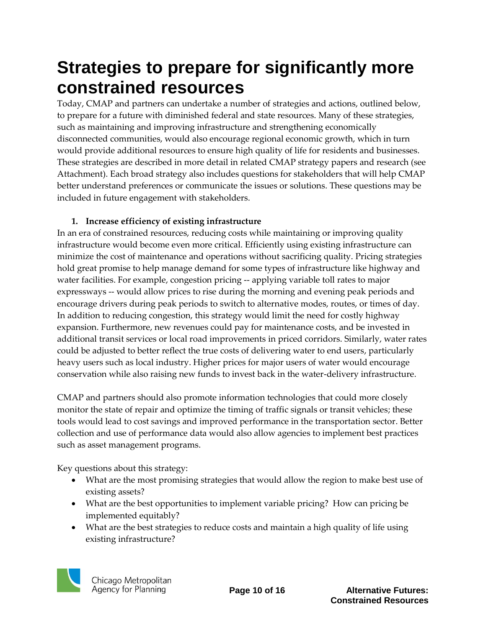## **Strategies to prepare for significantly more constrained resources**

Today, CMAP and partners can undertake a number of strategies and actions, outlined below, to prepare for a future with diminished federal and state resources. Many of these strategies, such as maintaining and improving infrastructure and strengthening economically disconnected communities, would also encourage regional economic growth, which in turn would provide additional resources to ensure high quality of life for residents and businesses. These strategies are described in more detail in related CMAP strategy papers and research (see Attachment). Each broad strategy also includes questions for stakeholders that will help CMAP better understand preferences or communicate the issues or solutions. These questions may be included in future engagement with stakeholders.

### **1. Increase efficiency of existing infrastructure**

In an era of constrained resources, reducing costs while maintaining or improving quality infrastructure would become even more critical. Efficiently using existing infrastructure can minimize the cost of maintenance and operations without sacrificing quality. Pricing strategies hold great promise to help manage demand for some types of infrastructure like highway and water facilities. For example, congestion pricing -- applying variable toll rates to major expressways -- would allow prices to rise during the morning and evening peak periods and encourage drivers during peak periods to switch to alternative modes, routes, or times of day. In addition to reducing congestion, this strategy would limit the need for costly highway expansion. Furthermore, new revenues could pay for maintenance costs, and be invested in additional transit services or local road improvements in priced corridors. Similarly, water rates could be adjusted to better reflect the true costs of delivering water to end users, particularly heavy users such as local industry. Higher prices for major users of water would encourage conservation while also raising new funds to invest back in the water-delivery infrastructure.

CMAP and partners should also promote information technologies that could more closely monitor the state of repair and optimize the timing of traffic signals or transit vehicles; these tools would lead to cost savings and improved performance in the transportation sector. Better collection and use of performance data would also allow agencies to implement best practices such as asset management programs.

Key questions about this strategy:

- What are the most promising strategies that would allow the region to make best use of existing assets?
- What are the best opportunities to implement variable pricing? How can pricing be implemented equitably?
- What are the best strategies to reduce costs and maintain a high quality of life using existing infrastructure?

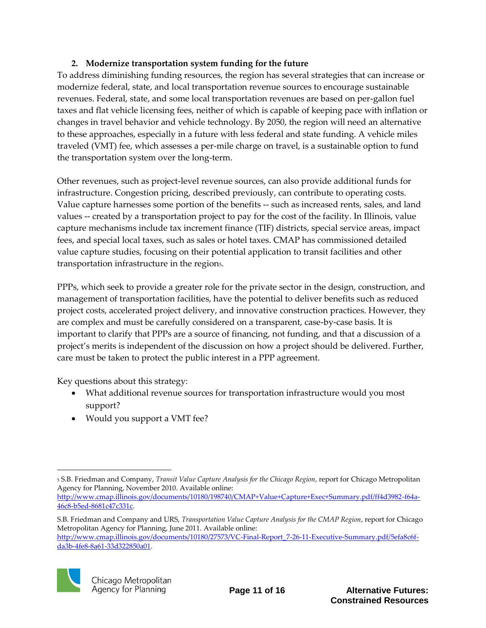### **2. Modernize transportation system funding for the future**

To address diminishing funding resources, the region has several strategies that can increase or modernize federal, state, and local transportation revenue sources to encourage sustainable revenues. Federal, state, and some local transportation revenues are based on per-gallon fuel taxes and flat vehicle licensing fees, neither of which is capable of keeping pace with inflation or changes in travel behavior and vehicle technology. By 2050, the region will need an alternative to these approaches, especially in a future with less federal and state funding. A vehicle miles traveled (VMT) fee, which assesses a per-mile charge on travel, is a sustainable option to fund the transportation system over the long-term.

Other revenues, such as project-level revenue sources, can also provide additional funds for infrastructure. Congestion pricing, described previously, can contribute to operating costs. Value capture harnesses some portion of the benefits -- such as increased rents, sales, and land values -- created by a transportation project to pay for the cost of the facility. In Illinois, value capture mechanisms include tax increment finance (TIF) districts, special service areas, impact fees, and special local taxes, such as sales or hotel taxes. CMAP has commissioned detailed value capture studies, focusing on their potential application to transit facilities and other transportation infrastructure in the region5.

PPPs, which seek to provide a greater role for the private sector in the design, construction, and management of transportation facilities, have the potential to deliver benefits such as reduced project costs, accelerated project delivery, and innovative construction practices. However, they are complex and must be carefully considered on a transparent, case-by-case basis. It is important to clarify that PPPs are a source of financing, not funding, and that a discussion of a project's merits is independent of the discussion on how a project should be delivered. Further, care must be taken to protect the public interest in a PPP agreement.

Key questions about this strategy:

- What additional revenue sources for transportation infrastructure would you most support?
- Would you support a VMT fee?

S.B. Friedman and Company and URS, *Transportation Value Capture Analysis for the CMAP Region*, report for Chicago Metropolitan Agency for Planning, June 2011. Available online: [http://www.cmap.illinois.gov/documents/10180/27573/VC-Final-Report\\_7-26-11-Executive-Summary.pdf/5efa8c6f](http://www.cmap.illinois.gov/documents/10180/27573/VC-Final-Report_7-26-11-Executive-Summary.pdf/5efa8c6f-da3b-4fe8-8a61-33d322850a01)[da3b-4fe8-8a61-33d322850a01.](http://www.cmap.illinois.gov/documents/10180/27573/VC-Final-Report_7-26-11-Executive-Summary.pdf/5efa8c6f-da3b-4fe8-8a61-33d322850a01)



 $\overline{a}$ <sup>5</sup> S.B. Friedman and Company, *Transit Value Capture Analysis for the Chicago Region*, report for Chicago Metropolitan Agency for Planning, November 2010. Available online:

[http://www.cmap.illinois.gov/documents/10180/198740/CMAP+Value+Capture+Exec+Summary.pdf/ff4d3982-f64a-](http://www.cmap.illinois.gov/documents/10180/198740/CMAP+Value+Capture+Exec+Summary.pdf/ff4d3982-f64a-46c8-b5ed-8681c47c331c)[46c8-b5ed-8681c47c331c.](http://www.cmap.illinois.gov/documents/10180/198740/CMAP+Value+Capture+Exec+Summary.pdf/ff4d3982-f64a-46c8-b5ed-8681c47c331c)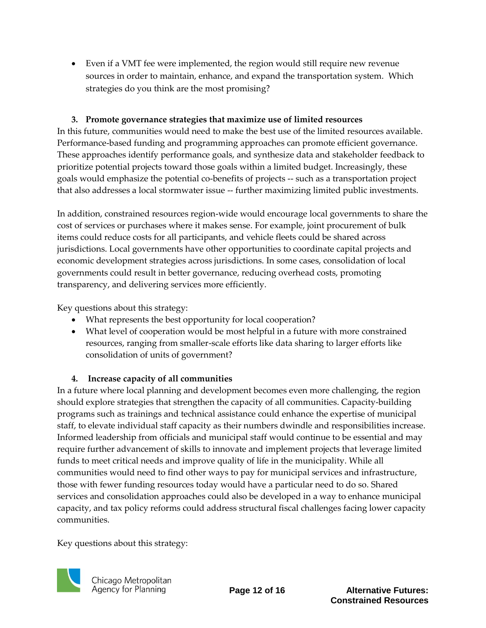Even if a VMT fee were implemented, the region would still require new revenue sources in order to maintain, enhance, and expand the transportation system. Which strategies do you think are the most promising?

### **3. Promote governance strategies that maximize use of limited resources**

In this future, communities would need to make the best use of the limited resources available. Performance-based funding and programming approaches can promote efficient governance. These approaches identify performance goals, and synthesize data and stakeholder feedback to prioritize potential projects toward those goals within a limited budget. Increasingly, these goals would emphasize the potential co-benefits of projects -- such as a transportation project that also addresses a local stormwater issue -- further maximizing limited public investments.

In addition, constrained resources region-wide would encourage local governments to share the cost of services or purchases where it makes sense. For example, joint procurement of bulk items could reduce costs for all participants, and vehicle fleets could be shared across jurisdictions. Local governments have other opportunities to coordinate capital projects and economic development strategies across jurisdictions. In some cases, consolidation of local governments could result in better governance, reducing overhead costs, promoting transparency, and delivering services more efficiently.

Key questions about this strategy:

- What represents the best opportunity for local cooperation?
- What level of cooperation would be most helpful in a future with more constrained resources, ranging from smaller-scale efforts like data sharing to larger efforts like consolidation of units of government?

### **4. Increase capacity of all communities**

In a future where local planning and development becomes even more challenging, the region should explore strategies that strengthen the capacity of all communities. Capacity-building programs such as trainings and technical assistance could enhance the expertise of municipal staff, to elevate individual staff capacity as their numbers dwindle and responsibilities increase. Informed leadership from officials and municipal staff would continue to be essential and may require further advancement of skills to innovate and implement projects that leverage limited funds to meet critical needs and improve quality of life in the municipality. While all communities would need to find other ways to pay for municipal services and infrastructure, those with fewer funding resources today would have a particular need to do so. Shared services and consolidation approaches could also be developed in a way to enhance municipal capacity, and tax policy reforms could address structural fiscal challenges facing lower capacity communities.

Key questions about this strategy:



**Page 12 of 16 Alternative Futures: Constrained Resources**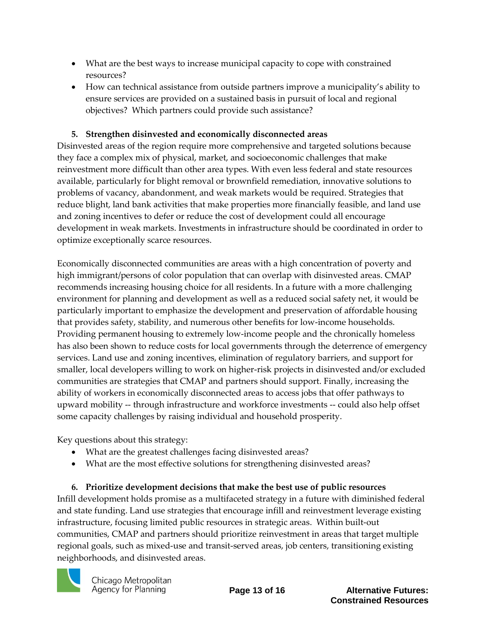- What are the best ways to increase municipal capacity to cope with constrained resources?
- How can technical assistance from outside partners improve a municipality's ability to ensure services are provided on a sustained basis in pursuit of local and regional objectives? Which partners could provide such assistance?

### **5. Strengthen disinvested and economically disconnected areas**

Disinvested areas of the region require more comprehensive and targeted solutions because they face a complex mix of physical, market, and socioeconomic challenges that make reinvestment more difficult than other area types. With even less federal and state resources available, particularly for blight removal or brownfield remediation, innovative solutions to problems of vacancy, abandonment, and weak markets would be required. Strategies that reduce blight, land bank activities that make properties more financially feasible, and land use and zoning incentives to defer or reduce the cost of development could all encourage development in weak markets. Investments in infrastructure should be coordinated in order to optimize exceptionally scarce resources.

Economically disconnected communities are areas with a high concentration of poverty and high immigrant/persons of color population that can overlap with disinvested areas. CMAP recommends increasing housing choice for all residents. In a future with a more challenging environment for planning and development as well as a reduced social safety net, it would be particularly important to emphasize the development and preservation of affordable housing that provides safety, stability, and numerous other benefits for low-income households. Providing permanent housing to extremely low-income people and the chronically homeless has also been shown to reduce costs for local governments through the deterrence of emergency services. Land use and zoning incentives, elimination of regulatory barriers, and support for smaller, local developers willing to work on higher-risk projects in disinvested and/or excluded communities are strategies that CMAP and partners should support. Finally, increasing the ability of workers in economically disconnected areas to access jobs that offer pathways to upward mobility -- through infrastructure and workforce investments -- could also help offset some capacity challenges by raising individual and household prosperity.

Key questions about this strategy:

- What are the greatest challenges facing disinvested areas?
- What are the most effective solutions for strengthening disinvested areas?

### **6. Prioritize development decisions that make the best use of public resources** Infill development holds promise as a multifaceted strategy in a future with diminished federal and state funding. Land use strategies that encourage infill and reinvestment leverage existing infrastructure, focusing limited public resources in strategic areas. Within built-out communities, CMAP and partners should prioritize reinvestment in areas that target multiple regional goals, such as mixed-use and transit-served areas, job centers, transitioning existing neighborhoods, and disinvested areas.



**Page 13 of 16 Alternative Futures: Constrained Resources**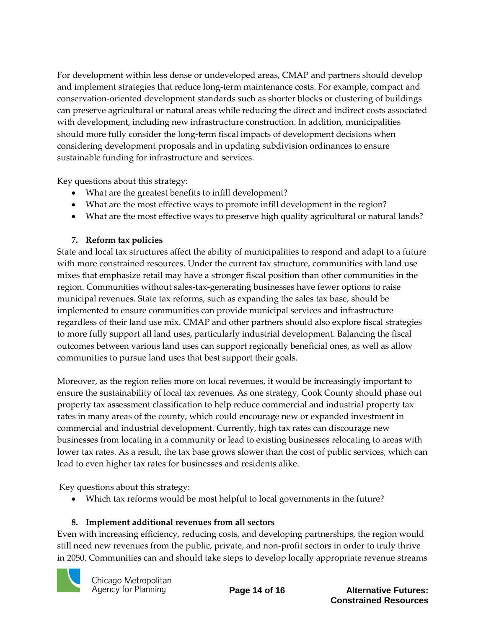For development within less dense or undeveloped areas, CMAP and partners should develop and implement strategies that reduce long-term maintenance costs. For example, compact and conservation-oriented development standards such as shorter blocks or clustering of buildings can preserve agricultural or natural areas while reducing the direct and indirect costs associated with development, including new infrastructure construction. In addition, municipalities should more fully consider the long-term fiscal impacts of development decisions when considering development proposals and in updating subdivision ordinances to ensure sustainable funding for infrastructure and services.

Key questions about this strategy:

- What are the greatest benefits to infill development?
- What are the most effective ways to promote infill development in the region?
- What are the most effective ways to preserve high quality agricultural or natural lands?

## **7. Reform tax policies**

State and local tax structures affect the ability of municipalities to respond and adapt to a future with more constrained resources. Under the current tax structure, communities with land use mixes that emphasize retail may have a stronger fiscal position than other communities in the region. Communities without sales-tax-generating businesses have fewer options to raise municipal revenues. State tax reforms, such as expanding the sales tax base, should be implemented to ensure communities can provide municipal services and infrastructure regardless of their land use mix. CMAP and other partners should also explore fiscal strategies to more fully support all land uses, particularly industrial development. Balancing the fiscal outcomes between various land uses can support regionally beneficial ones, as well as allow communities to pursue land uses that best support their goals.

Moreover, as the region relies more on local revenues, it would be increasingly important to ensure the sustainability of local tax revenues. As one strategy, Cook County should phase out property tax assessment classification to help reduce commercial and industrial property tax rates in many areas of the county, which could encourage new or expanded investment in commercial and industrial development. Currently, high tax rates can discourage new businesses from locating in a community or lead to existing businesses relocating to areas with lower tax rates. As a result, the tax base grows slower than the cost of public services, which can lead to even higher tax rates for businesses and residents alike.

Key questions about this strategy:

Which tax reforms would be most helpful to local governments in the future?

## **8. Implement additional revenues from all sectors**

Even with increasing efficiency, reducing costs, and developing partnerships, the region would still need new revenues from the public, private, and non-profit sectors in order to truly thrive in 2050. Communities can and should take steps to develop locally appropriate revenue streams

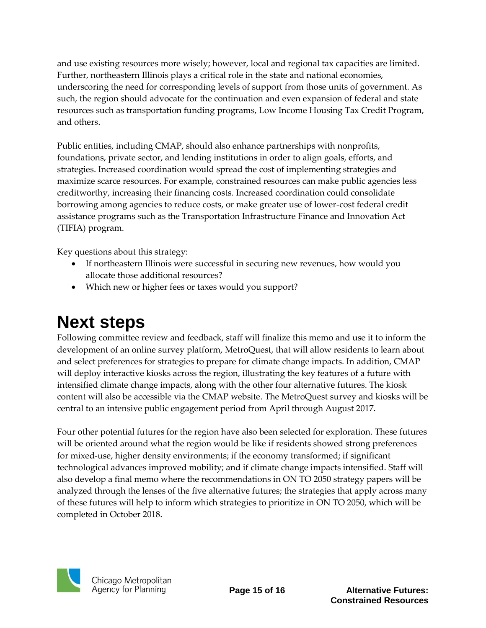and use existing resources more wisely; however, local and regional tax capacities are limited. Further, northeastern Illinois plays a critical role in the state and national economies, underscoring the need for corresponding levels of support from those units of government. As such, the region should advocate for the continuation and even expansion of federal and state resources such as transportation funding programs, Low Income Housing Tax Credit Program, and others.

Public entities, including CMAP, should also enhance partnerships with nonprofits, foundations, private sector, and lending institutions in order to align goals, efforts, and strategies. Increased coordination would spread the cost of implementing strategies and maximize scarce resources. For example, constrained resources can make public agencies less creditworthy, increasing their financing costs. Increased coordination could consolidate borrowing among agencies to reduce costs, or make greater use of lower-cost federal credit assistance programs such as the Transportation Infrastructure Finance and Innovation Act (TIFIA) program.

Key questions about this strategy:

- If northeastern Illinois were successful in securing new revenues, how would you allocate those additional resources?
- Which new or higher fees or taxes would you support?

# **Next steps**

Following committee review and feedback, staff will finalize this memo and use it to inform the development of an online survey platform, MetroQuest, that will allow residents to learn about and select preferences for strategies to prepare for climate change impacts. In addition, CMAP will deploy interactive kiosks across the region, illustrating the key features of a future with intensified climate change impacts, along with the other four alternative futures. The kiosk content will also be accessible via the CMAP website. The MetroQuest survey and kiosks will be central to an intensive public engagement period from April through August 2017.

Four other potential futures for the region have also been selected for exploration. These futures will be oriented around what the region would be like if residents showed strong preferences for mixed-use, higher density environments; if the economy transformed; if significant technological advances improved mobility; and if climate change impacts intensified. Staff will also develop a final memo where the recommendations in ON TO 2050 strategy papers will be analyzed through the lenses of the five alternative futures; the strategies that apply across many of these futures will help to inform which strategies to prioritize in ON TO 2050, which will be completed in October 2018.



**Page 15 of 16 Alternative Futures: Constrained Resources**